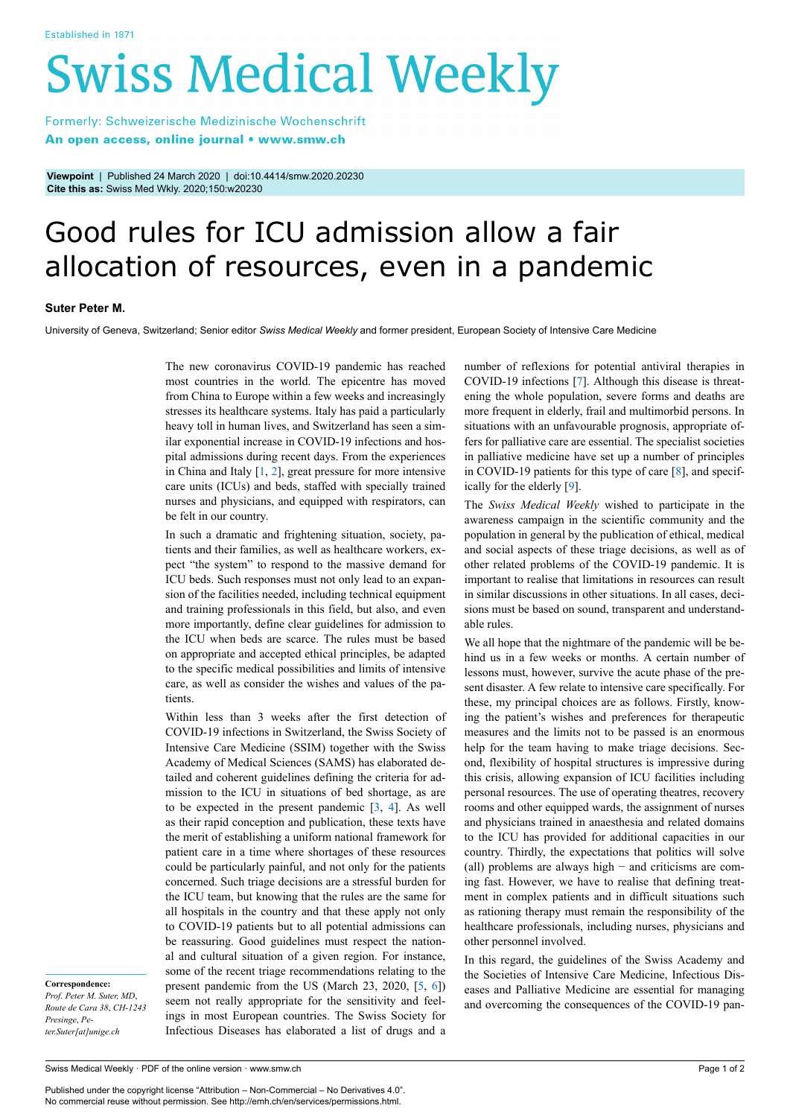# **Swiss Medical Weekly**

Formerly: Schweizerische Medizinische Wochenschrift An open access, online journal • www.smw.ch

**Viewpoint** | Published 24 March 2020 | doi:10.4414/smw.2020.20230 **Cite this as:** Swiss Med Wkly. 2020;150:w20230

# Good rules for ICU admission allow a fair allocation of resources, even in a pandemic

## **Suter Peter M.**

University of Geneva, Switzerland; Senior editor *Swiss Medical Weekly* and former president, European Society of Intensive Care Medicine

The new coronavirus COVID-19 pandemic has reached most countries in the world. The epicentre has moved from China to Europe within a few weeks and increasingly stresses its healthcare systems. Italy has paid a particularly heavy toll in human lives, and Switzerland has seen a similar exponential increase in COVID-19 infections and hospital admissions during recent days. From the experiences in China and Italy  $[1, 2]$  $[1, 2]$  $[1, 2]$  $[1, 2]$ , great pressure for more intensive care units (ICUs) and beds, staffed with specially trained nurses and physicians, and equipped with respirators, can be felt in our country.

In such a dramatic and frightening situation, society, patients and their families, as well as healthcare workers, expect "the system" to respond to the massive demand for ICU beds. Such responses must not only lead to an expansion of the facilities needed, including technical equipment and training professionals in this field, but also, and even more importantly, define clear guidelines for admission to the ICU when beds are scarce. The rules must be based on appropriate and accepted ethical principles, be adapted to the specific medical possibilities and limits of intensive care, as well as consider the wishes and values of the patients.

Within less than 3 weeks after the first detection of COVID-19 infections in Switzerland, the Swiss Society of Intensive Care Medicine (SSIM) together with the Swiss Academy of Medical Sciences (SAMS) has elaborated detailed and coherent guidelines defining the criteria for admission to the ICU in situations of bed shortage, as are to be expected in the present pandemic [[3](#page-1-2), [4](#page-1-3)]. As well as their rapid conception and publication, these texts have the merit of establishing a uniform national framework for patient care in a time where shortages of these resources could be particularly painful, and not only for the patients concerned. Such triage decisions are a stressful burden for the ICU team, but knowing that the rules are the same for all hospitals in the country and that these apply not only to COVID-19 patients but to all potential admissions can be reassuring. Good guidelines must respect the national and cultural situation of a given region. For instance, some of the recent triage recommendations relating to the present pandemic from the US (March 23, 2020, [\[5,](#page-1-4) [6\]](#page-1-5)) seem not really appropriate for the sensitivity and feelings in most European countries. The Swiss Society for Infectious Diseases has elaborated a list of drugs and a

**Correspondence:** *Prof. Peter M. Suter, MD*, *Route de Cara 38*, *CH-1243 Presinge*, *Peter.Suter[at]unige.ch*

number of reflexions for potential antiviral therapies in COVID-19 infections [[7](#page-1-6)]. Although this disease is threatening the whole population, severe forms and deaths are more frequent in elderly, frail and multimorbid persons. In situations with an unfavourable prognosis, appropriate offers for palliative care are essential. The specialist societies in palliative medicine have set up a number of principles in COVID-19 patients for this type of care [\[8\]](#page-1-7), and specifically for the elderly [[9](#page-1-8)].

The *Swiss Medical Weekly* wished to participate in the awareness campaign in the scientific community and the population in general by the publication of ethical, medical and social aspects of these triage decisions, as well as of other related problems of the COVID-19 pandemic. It is important to realise that limitations in resources can result in similar discussions in other situations. In all cases, decisions must be based on sound, transparent and understandable rules.

We all hope that the nightmare of the pandemic will be behind us in a few weeks or months. A certain number of lessons must, however, survive the acute phase of the present disaster. A few relate to intensive care specifically. For these, my principal choices are as follows. Firstly, knowing the patient's wishes and preferences for therapeutic measures and the limits not to be passed is an enormous help for the team having to make triage decisions. Second, flexibility of hospital structures is impressive during this crisis, allowing expansion of ICU facilities including personal resources. The use of operating theatres, recovery rooms and other equipped wards, the assignment of nurses and physicians trained in anaesthesia and related domains to the ICU has provided for additional capacities in our country. Thirdly, the expectations that politics will solve (all) problems are always high − and criticisms are coming fast. However, we have to realise that defining treatment in complex patients and in difficult situations such as rationing therapy must remain the responsibility of the healthcare professionals, including nurses, physicians and other personnel involved.

In this regard, the guidelines of the Swiss Academy and the Societies of Intensive Care Medicine, Infectious Diseases and Palliative Medicine are essential for managing and overcoming the consequences of the COVID-19 pan-

Published under the copyright license "Attribution – Non-Commercial – No Derivatives 4.0". No commercial reuse without permission. See http://emh.ch/en/services/permissions.html.